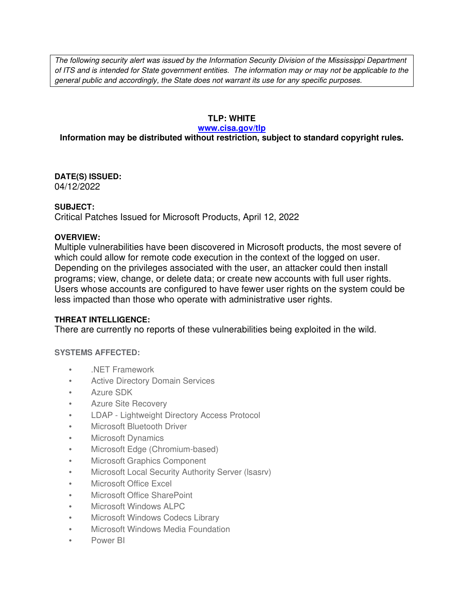The following security alert was issued by the Information Security Division of the Mississippi Department of ITS and is intended for State government entities. The information may or may not be applicable to the general public and accordingly, the State does not warrant its use for any specific purposes.

## **TLP: WHITE**

#### **www.cisa.gov/tlp**

# **Information may be distributed without restriction, subject to standard copyright rules.**

**DATE(S) ISSUED:** 04/12/2022

## **SUBJECT:**

Critical Patches Issued for Microsoft Products, April 12, 2022

## **OVERVIEW:**

Multiple vulnerabilities have been discovered in Microsoft products, the most severe of which could allow for remote code execution in the context of the logged on user. Depending on the privileges associated with the user, an attacker could then install programs; view, change, or delete data; or create new accounts with full user rights. Users whose accounts are configured to have fewer user rights on the system could be less impacted than those who operate with administrative user rights.

## **THREAT INTELLIGENCE:**

There are currently no reports of these vulnerabilities being exploited in the wild.

## **SYSTEMS AFFECTED:**

- .NET Framework
- Active Directory Domain Services
- Azure SDK
- Azure Site Recovery
- LDAP Lightweight Directory Access Protocol
- Microsoft Bluetooth Driver
- Microsoft Dynamics
- Microsoft Edge (Chromium-based)
- Microsoft Graphics Component
- Microsoft Local Security Authority Server (Isasry)
- Microsoft Office Excel
- Microsoft Office SharePoint
- Microsoft Windows ALPC
- Microsoft Windows Codecs Library
- Microsoft Windows Media Foundation
- Power BI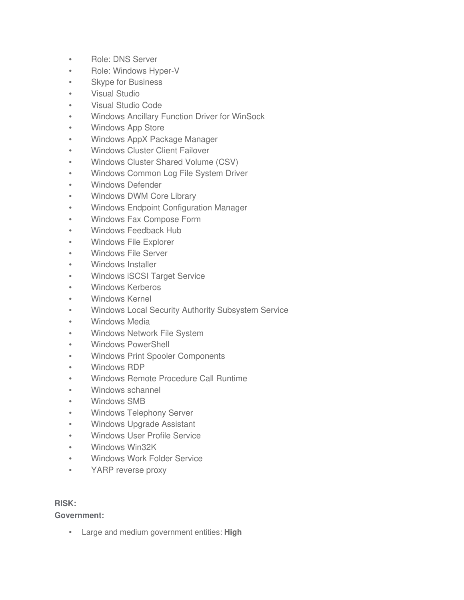- Role: DNS Server
- Role: Windows Hyper-V
- Skype for Business
- Visual Studio
- Visual Studio Code
- Windows Ancillary Function Driver for WinSock
- Windows App Store
- Windows AppX Package Manager
- Windows Cluster Client Failover
- Windows Cluster Shared Volume (CSV)
- Windows Common Log File System Driver
- Windows Defender
- Windows DWM Core Library
- Windows Endpoint Configuration Manager
- Windows Fax Compose Form
- Windows Feedback Hub
- Windows File Explorer
- Windows File Server
- Windows Installer
- Windows iSCSI Target Service
- Windows Kerberos
- Windows Kernel
- Windows Local Security Authority Subsystem Service
- Windows Media
- Windows Network File System
- Windows PowerShell
- Windows Print Spooler Components
- Windows RDP
- Windows Remote Procedure Call Runtime
- Windows schannel
- Windows SMB
- Windows Telephony Server
- Windows Upgrade Assistant
- Windows User Profile Service
- Windows Win32K
- Windows Work Folder Service
- YARP reverse proxy

## **RISK:**

**Government:**

• Large and medium government entities: **High**